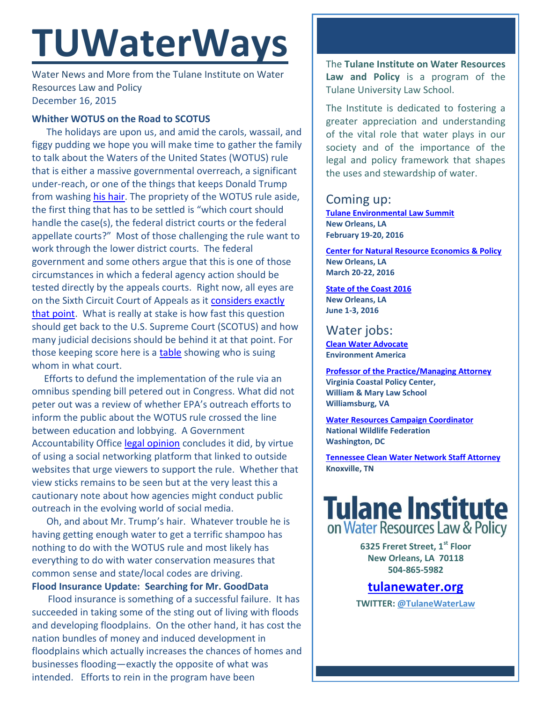# **TUWaterWays**

Water News and More from the Tulane Institute on Water Resources Law and Policy December 16, 2015

### **Whither WOTUS on the Road to SCOTUS**

The holidays are upon us, and amid the carols, wassail, and figgy pudding we hope you will make time to gather the family to talk about the Waters of the United States (WOTUS) rule that is either a massive governmental overreach, a significant under-reach, or one of the things that keeps Donald Trump from washing [his hair.](https://s-media-cache-ak0.pinimg.com/236x/63/3a/28/633a28d68c7ad3f1b5775526f5e09983.jpg) The propriety of the WOTUS rule aside, the first thing that has to be settled is "which court should handle the case(s), the federal district courts or the federal appellate courts?" Most of those challenging the rule want to work through the lower district courts. The federal government and some others argue that this is one of those circumstances in which a federal agency action should be tested directly by the appeals courts. Right now, all eyes are on the Sixth Circuit Court of Appeals as it [considers exactly](http://static.ow.ly/docs/2015.11.13%20Challenges%20Filed%20Against%20Federal%20Clean%20Water%20Rule_3ZnN.pdf)  [that point.](http://static.ow.ly/docs/2015.11.13%20Challenges%20Filed%20Against%20Federal%20Clean%20Water%20Rule_3ZnN.pdf) What is really at stake is how fast this question should get back to the U.S. Supreme Court (SCOTUS) and how many judicial decisions should be behind it at that point. For those keeping score here is a [table](http://static.ow.ly/docs/2015.11.13%20Challenges%20Filed%20Against%20Federal%20Clean%20Water%20Rule_3ZnN.pdf) showing who is suing whom in what court.

 Efforts to defund the implementation of the rule via an omnibus spending bill petered out in Congress. What did not peter out was a review of whether EPA's outreach efforts to inform the public about the WOTUS rule crossed the line between education and lobbying. A Government Accountability Office [legal opinion](http://static.ow.ly/docs/2015.11.13%20Challenges%20Filed%20Against%20Federal%20Clean%20Water%20Rule_3ZnN.pdf) concludes it did, by virtue of using a social networking platform that linked to outside websites that urge viewers to support the rule. Whether that view sticks remains to be seen but at the very least this a cautionary note about how agencies might conduct public outreach in the evolving world of social media.

 Oh, and about Mr. Trump's hair. Whatever trouble he is having getting enough water to get a terrific shampoo has nothing to do with the WOTUS rule and most likely has everything to do with water conservation measures that common sense and state/local codes are driving. **Flood Insurance Update: Searching for Mr. GoodData**

Flood insurance is something of a successful failure. It has succeeded in taking some of the sting out of living with floods and developing floodplains. On the other hand, it has cost the nation bundles of money and induced development in floodplains which actually increases the chances of homes and businesses flooding—exactly the opposite of what was intended. Efforts to rein in the program have been

The **Tulane Institute on Water Resources Law and Policy** is a program of the Tulane University Law School.

The Institute is dedicated to fostering a greater appreciation and understanding of the vital role that water plays in our society and of the importance of the legal and policy framework that shapes the uses and stewardship of water.

## Coming up:

**[Tulane Environmental Law Summit](http://tulaneenvironmentallawsummit.com/) New Orleans, LA February 19-20, 2016**

**[Center for Natural Resource Economics & Policy](http://www.cnrep.lsu.edu/2016/) New Orleans, LA March 20-22, 2016**

**[State of the Coast](http://stateofthecoast.org/) 2016 New Orleans, LA June 1-3, 2016**

# Water jobs:

**[Clean Water Advocate](http://jobs.environmentamerica.org/clean-water-advocate.html) Environment America**

**[Professor of the Practice/Managing Attorney](https://jobs.wm.edu/postings/22816) Virginia Coastal Policy Center, William & Mary Law School Williamsburg, VA**

**[Water Resources Campaign Coordinator](https://nwf.applicantpro.com/jobs/314523.html) National Wildlife Federation Washington, DC**

**[Tennessee Clean Water Network Staff Attorney](http://www.tcwn.org/job-opening-staff-attorney/) Knoxville, TN**

# **Tulane Institute** on Water Resources Law & Policy

**6325 Freret Street, 1st Floor New Orleans, LA 70118 504-865-5982** 

### **[tulanewater.org](file:///C:/Users/waterlaw/Downloads/tulanewater.org)**

**TWITTER: [@TulaneWaterLaw](http://www.twitter.com/TulaneWaterLaw)**